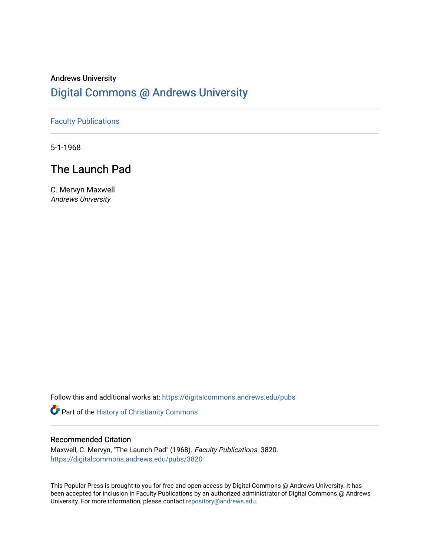### Andrews University [Digital Commons @ Andrews University](https://digitalcommons.andrews.edu/)

### [Faculty Publications](https://digitalcommons.andrews.edu/pubs)

5-1-1968

## The Launch Pad

C. Mervyn Maxwell Andrews University

Follow this and additional works at: [https://digitalcommons.andrews.edu/pubs](https://digitalcommons.andrews.edu/pubs?utm_source=digitalcommons.andrews.edu%2Fpubs%2F3820&utm_medium=PDF&utm_campaign=PDFCoverPages) 

Part of the [History of Christianity Commons](http://network.bepress.com/hgg/discipline/1182?utm_source=digitalcommons.andrews.edu%2Fpubs%2F3820&utm_medium=PDF&utm_campaign=PDFCoverPages) 

#### Recommended Citation

Maxwell, C. Mervyn, "The Launch Pad" (1968). Faculty Publications. 3820. [https://digitalcommons.andrews.edu/pubs/3820](https://digitalcommons.andrews.edu/pubs/3820?utm_source=digitalcommons.andrews.edu%2Fpubs%2F3820&utm_medium=PDF&utm_campaign=PDFCoverPages) 

This Popular Press is brought to you for free and open access by Digital Commons @ Andrews University. It has been accepted for inclusion in Faculty Publications by an authorized administrator of Digital Commons @ Andrews University. For more information, please contact [repository@andrews.edu](mailto:repository@andrews.edu).